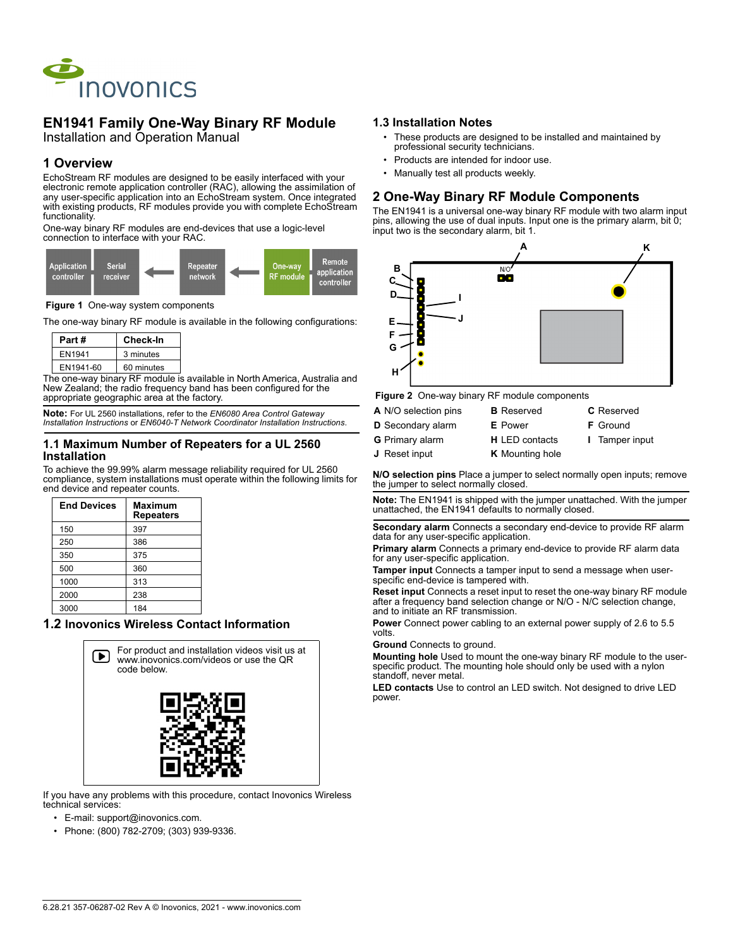

# **EN1941 Family One-Way Binary RF Module**

Installation and Operation Manual

## **1 Overview**

EchoStream RF modules are designed to be easily interfaced with your electronic remote application controller (RAC), allowing the assimilation of any user-specific application into an EchoStream system. Once integrated with existing products, RF modules provide you with complete EchoStream functionality.

One-way binary RF modules are end-devices that use a logic-level connection to interface with your RAC.



**Figure 1** One-way system components

The one-way binary RF module is available in the following configurations:

| Part#     |  | Check-In   |  |
|-----------|--|------------|--|
| EN1941    |  | 3 minutes  |  |
| EN1941-60 |  | 60 minutes |  |

The one-way binary RF module is available in North America, Australia and New Zealand; the radio frequency band has been configured for the appropriate geographic area at the factory.

**Note:** For UL 2560 installations, refer to the *EN6080 Area Control Gateway Installation Instructions* or *EN6040-T Network Coordinator Installation Instructions*.

#### **1.1 Maximum Number of Repeaters for a UL 2560 Installation**

To achieve the 99.99% alarm message reliability required for UL 2560 compliance, system installations must operate within the following limits for end device and repeater counts.

| <b>End Devices</b> | <b>Maximum</b><br><b>Repeaters</b> |
|--------------------|------------------------------------|
| 150                | 397                                |
| 250                | 386                                |
| 350                | 375                                |
| 500                | 360                                |
| 1000               | 313                                |
| 2000               | 238                                |
| 3000               | 184                                |

## **1.2 Inovonics Wireless Contact Information**



If you have any problems with this procedure, contact Inovonics Wireless technical services:

- E-mail: support@inovonics.com.
- Phone: (800) 782-2709; (303) 939-9336.

#### **1.3 Installation Notes**

- These products are designed to be installed and maintained by professional security technicians.
- Products are intended for indoor use.
- Manually test all products weekly.

### **2 One-Way Binary RF Module Components**

The EN1941 is a universal one-way binary RF module with two alarm input pins, allowing the use of dual inputs. Input one is the primary alarm, bit 0; input two is the secondary alarm, bit 1.



 **Figure 2** One-way binary RF module components

| A N/O selection pins     | <b>B</b> Reserved      | <b>C</b> Reserved     |
|--------------------------|------------------------|-----------------------|
| <b>D</b> Secondary alarm | <b>E</b> Power         | <b>F</b> Ground       |
| <b>G</b> Primary alarm   | <b>H</b> LED contacts  | <b>I</b> Tamper input |
| <b>J</b> Reset input     | <b>K</b> Mounting hole |                       |

**N/O selection pins** Place a jumper to select normally open inputs; remove the jumper to select normally closed.

**Note:** The EN1941 is shipped with the jumper unattached. With the jumper unattached, the EN1941 defaults to normally closed.

**Secondary alarm** Connects a secondary end-device to provide RF alarm data for any user-specific application.

**Primary alarm** Connects a primary end-device to provide RF alarm data for any user-specific application.

**Tamper input** Connects a tamper input to send a message when userspecific end-device is tampered with.

**Reset input** Connects a reset input to reset the one-way binary RF module after a frequency band selection change or N/O - N/C selection change, and to initiate an RF transmission.

**Power** Connect power cabling to an external power supply of 2.6 to 5.5 volts.

**Ground** Connects to ground.

**Mounting hole** Used to mount the one-way binary RF module to the userspecific product. The mounting hole should only be used with a nylon standoff, never metal.

**LED contacts** Use to control an LED switch. Not designed to drive LED power.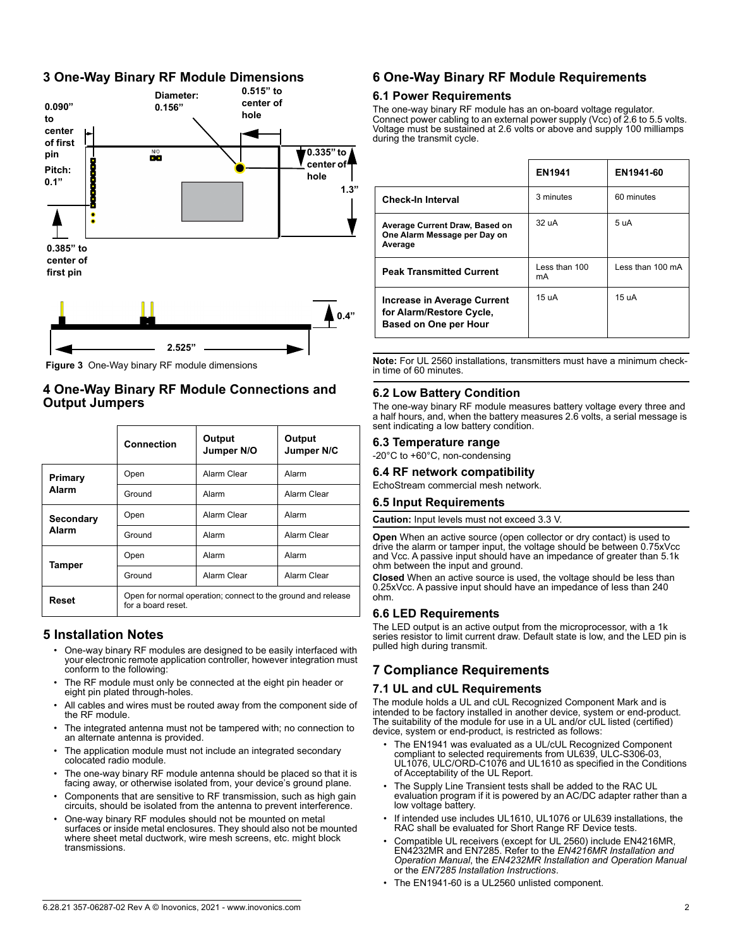## **3 One-Way Binary RF Module Dimensions**



 **Figure 3** One-Way binary RF module dimensions

## **4 One-Way Binary RF Module Connections and Output Jumpers**

|                    | Connection                                                                         | Output<br>Jumper N/O | Output<br>Jumper N/C |
|--------------------|------------------------------------------------------------------------------------|----------------------|----------------------|
| Primary<br>Alarm   | Open                                                                               | Alarm Clear          | Alarm                |
|                    | Ground                                                                             | Alarm                | Alarm Clear          |
| Secondary<br>Alarm | Open                                                                               | Alarm Clear          | Alarm                |
|                    | Ground                                                                             | Alarm                | Alarm Clear          |
| Tamper             | Open                                                                               | Alarm                | Alarm                |
|                    | Ground                                                                             | Alarm Clear          | Alarm Clear          |
| Reset              | Open for normal operation; connect to the ground and release<br>for a board reset. |                      |                      |

## **5 Installation Notes**

- One-way binary RF modules are designed to be easily interfaced with your electronic remote application controller, however integration must conform to the following:
- The RF module must only be connected at the eight pin header or eight pin plated through-holes.
- All cables and wires must be routed away from the component side of the RF module.
- The integrated antenna must not be tampered with; no connection to an alternate antenna is provided.
- The application module must not include an integrated secondary colocated radio module.
- The one-way binary RF module antenna should be placed so that it is facing away, or otherwise isolated from, your device's ground plane.
- Components that are sensitive to RF transmission, such as high gain circuits, should be isolated from the antenna to prevent interference.
- One-way binary RF modules should not be mounted on metal surfaces or inside metal enclosures. They should also not be mounted where sheet metal ductwork, wire mesh screens, etc. might block transmissions.

## **6 One-Way Binary RF Module Requirements**

### **6.1 Power Requirements**

The one-way binary RF module has an on-board voltage regulator. Connect power cabling to an external power supply (Vcc) of 2.6 to 5.5 volts. Voltage must be sustained at 2.6 volts or above and supply 100 milliamps during the transmit cycle.

|                                                                                  | <b>EN1941</b>       | EN1941-60        |
|----------------------------------------------------------------------------------|---------------------|------------------|
| <b>Check-In Interval</b>                                                         | 3 minutes           | 60 minutes       |
| Average Current Draw, Based on<br>One Alarm Message per Day on<br>Average        | 32 uA               | 5 uA             |
| <b>Peak Transmitted Current</b>                                                  | Less than 100<br>mA | Less than 100 mA |
| Increase in Average Current<br>for Alarm/Restore Cycle,<br>Based on One per Hour | 15 uA               | 15 uA            |

**Note:** For UL 2560 installations, transmitters must have a minimum checkin time of 60 minutes.

### **6.2 Low Battery Condition**

The one-way binary RF module measures battery voltage every three and a half hours, and, when the battery measures 2.6 volts, a serial message is sent indicating a low battery condition.

#### **6.3 Temperature range**

-20°C to +60°C, non-condensing

### **6.4 RF network compatibility**

EchoStream commercial mesh network.

#### **6.5 Input Requirements**

**Caution:** Input levels must not exceed 3.3 V.

**Open** When an active source (open collector or dry contact) is used to drive the alarm or tamper input, the voltage should be between 0.75xVcc and Vcc. A passive input should have an impedance of greater than 5.1k ohm between the input and ground.

**Closed** When an active source is used, the voltage should be less than 0.25xVcc. A passive input should have an impedance of less than 240 ohm.

#### **6.6 LED Requirements**

The LED output is an active output from the microprocessor, with a 1k series resistor to limit current draw. Default state is low, and the LED pin is pulled high during transmit.

## **7 Compliance Requirements**

#### **7.1 UL and cUL Requirements**

The module holds a UL and cUL Recognized Component Mark and is intended to be factory installed in another device, system or end-product. The suitability of the module for use in a UL and/or cUL listed (certified) device, system or end-product, is restricted as follows:

- The EN1941 was evaluated as a UL/cUL Recognized Component compliant to selected requirements from UL639, ULC-S306-03, UL1076, ULC/ORD-C1076 and UL1610 as specified in the Conditions of Acceptability of the UL Report.
- The Supply Line Transient tests shall be added to the RAC UL evaluation program if it is powered by an AC/DC adapter rather than a low voltage battery.
- If intended use includes UL1610, UL1076 or UL639 installations, the RAC shall be evaluated for Short Range RF Device tests.
- Compatible UL receivers (except for UL 2560) include EN4216MR, EN4232MR and EN7285. Refer to the *EN4216MR Installation and Operation Manual*, the *EN4232MR Installation and Operation Manual* or the *EN7285 Installation Instructions*.
- The EN1941-60 is a UL2560 unlisted component.